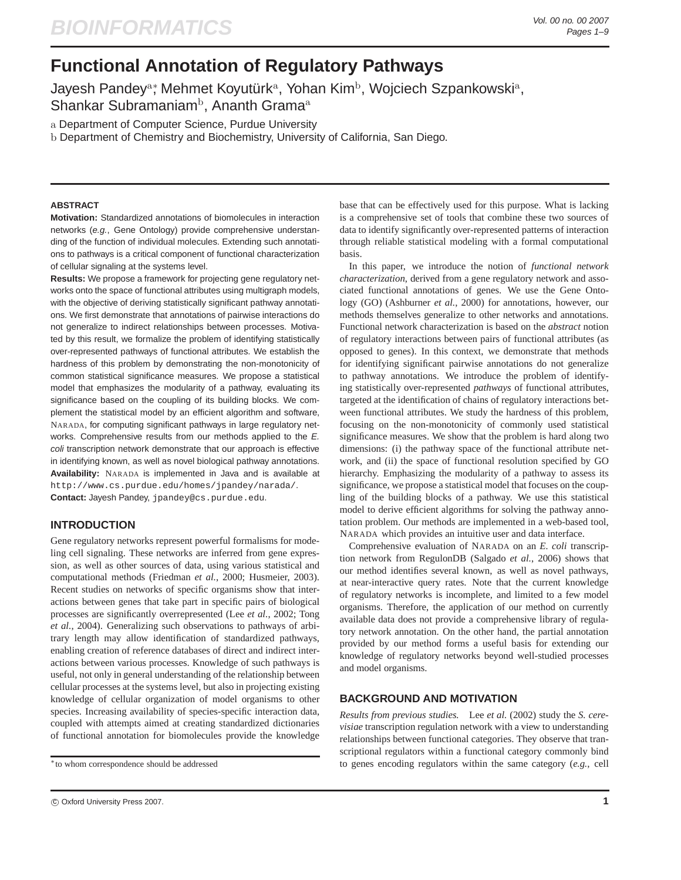# **Functional Annotation of Regulatory Pathways**

Jayesh Pandey<sup>a</sup>\*, Mehmet Koyutürkª, Yohan Kim<sup>b</sup>, Wojciech Szpankowskiª, Shankar Subramaniam<sup>b</sup>, Ananth Grama<sup>a</sup>

a Department of Computer Science, Purdue University

b Department of Chemistry and Biochemistry, University of California, San Diego.

# **ABSTRACT**

**Motivation:** Standardized annotations of biomolecules in interaction networks (e.g., Gene Ontology) provide comprehensive understanding of the function of individual molecules. Extending such annotations to pathways is a critical component of functional characterization of cellular signaling at the systems level.

**Results:** We propose a framework for projecting gene regulatory networks onto the space of functional attributes using multigraph models, with the objective of deriving statistically significant pathway annotations. We first demonstrate that annotations of pairwise interactions do not generalize to indirect relationships between processes. Motivated by this result, we formalize the problem of identifying statistically over-represented pathways of functional attributes. We establish the hardness of this problem by demonstrating the non-monotonicity of common statistical significance measures. We propose a statistical model that emphasizes the modularity of a pathway, evaluating its significance based on the coupling of its building blocks. We complement the statistical model by an efficient algorithm and software, NARADA, for computing significant pathways in large regulatory networks. Comprehensive results from our methods applied to the E. coli transcription network demonstrate that our approach is effective in identifying known, as well as novel biological pathway annotations. **Availability:** NARADA is implemented in Java and is available at http://www.cs.purdue.edu/homes/jpandey/narada/. **Contact:** Jayesh Pandey, jpandey@cs.purdue.edu.

# **INTRODUCTION**

Gene regulatory networks represent powerful formalisms for modeling cell signaling. These networks are inferred from gene expression, as well as other sources of data, using various statistical and computational methods (Friedman *et al.*, 2000; Husmeier, 2003). Recent studies on networks of specific organisms show that interactions between genes that take part in specific pairs of biological processes are significantly overrepresented (Lee *et al.*, 2002; Tong *et al.*, 2004). Generalizing such observations to pathways of arbitrary length may allow identification of standardized pathways, enabling creation of reference databases of direct and indirect interactions between various processes. Knowledge of such pathways is useful, not only in general understanding of the relationship between cellular processes at the systems level, but also in projecting existing knowledge of cellular organization of model organisms to other species. Increasing availability of species-specific interaction data, coupled with attempts aimed at creating standardized dictionaries of functional annotation for biomolecules provide the knowledge base that can be effectively used for this purpose. What is lacking is a comprehensive set of tools that combine these two sources of data to identify significantly over-represented patterns of interaction through reliable statistical modeling with a formal computational basis.

In this paper, we introduce the notion of *functional network characterization*, derived from a gene regulatory network and associated functional annotations of genes. We use the Gene Ontology (GO) (Ashburner *et al.*, 2000) for annotations, however, our methods themselves generalize to other networks and annotations. Functional network characterization is based on the *abstract* notion of regulatory interactions between pairs of functional attributes (as opposed to genes). In this context, we demonstrate that methods for identifying significant pairwise annotations do not generalize to pathway annotations. We introduce the problem of identifying statistically over-represented *pathways* of functional attributes, targeted at the identification of chains of regulatory interactions between functional attributes. We study the hardness of this problem, focusing on the non-monotonicity of commonly used statistical significance measures. We show that the problem is hard along two dimensions: (i) the pathway space of the functional attribute network, and (ii) the space of functional resolution specified by GO hierarchy. Emphasizing the modularity of a pathway to assess its significance, we propose a statistical model that focuses on the coupling of the building blocks of a pathway. We use this statistical model to derive efficient algorithms for solving the pathway annotation problem. Our methods are implemented in a web-based tool, NARADA which provides an intuitive user and data interface.

Comprehensive evaluation of NARADA on an *E. coli* transcription network from RegulonDB (Salgado *et al.*, 2006) shows that our method identifies several known, as well as novel pathways, at near-interactive query rates. Note that the current knowledge of regulatory networks is incomplete, and limited to a few model organisms. Therefore, the application of our method on currently available data does not provide a comprehensive library of regulatory network annotation. On the other hand, the partial annotation provided by our method forms a useful basis for extending our knowledge of regulatory networks beyond well-studied processes and model organisms.

# **BACKGROUND AND MOTIVATION**

*Results from previous studies.* Lee *et al.* (2002) study the *S. cerevisiae* transcription regulation network with a view to understanding relationships between functional categories. They observe that transcriptional regulators within a functional category commonly bind to genes encoding regulators within the same category (*e.g.*, cell

<sup>∗</sup>to whom correspondence should be addressed

c Oxford University Press 2007. **1**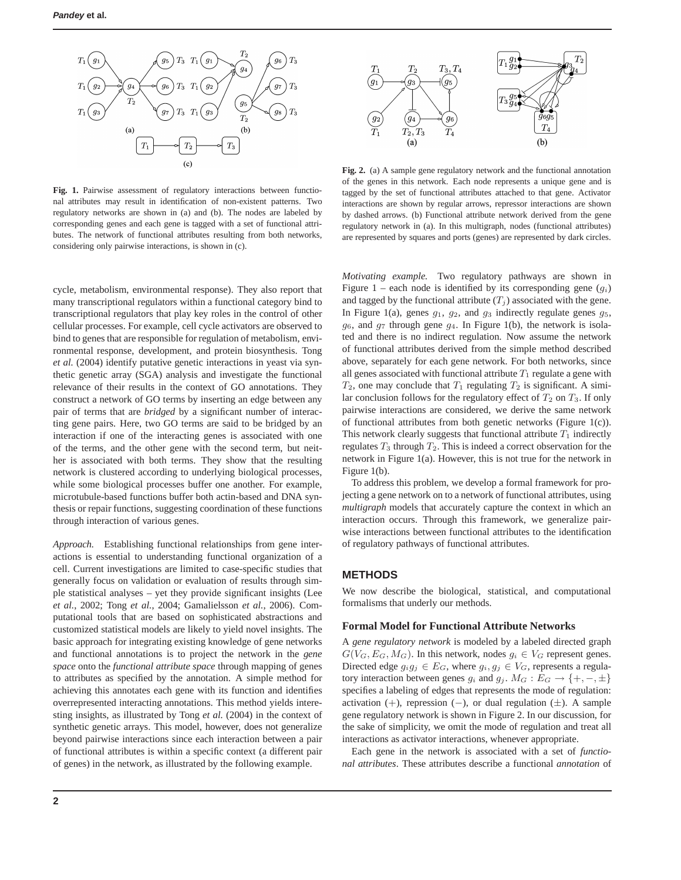

**Fig. 1.** Pairwise assessment of regulatory interactions between functional attributes may result in identification of non-existent patterns. Two regulatory networks are shown in (a) and (b). The nodes are labeled by corresponding genes and each gene is tagged with a set of functional attributes. The network of functional attributes resulting from both networks, considering only pairwise interactions, is shown in (c).

cycle, metabolism, environmental response). They also report that many transcriptional regulators within a functional category bind to transcriptional regulators that play key roles in the control of other cellular processes. For example, cell cycle activators are observed to bind to genes that are responsible for regulation of metabolism, environmental response, development, and protein biosynthesis. Tong *et al.* (2004) identify putative genetic interactions in yeast via synthetic genetic array (SGA) analysis and investigate the functional relevance of their results in the context of GO annotations. They construct a network of GO terms by inserting an edge between any pair of terms that are *bridged* by a significant number of interacting gene pairs. Here, two GO terms are said to be bridged by an interaction if one of the interacting genes is associated with one of the terms, and the other gene with the second term, but neither is associated with both terms. They show that the resulting network is clustered according to underlying biological processes, while some biological processes buffer one another. For example, microtubule-based functions buffer both actin-based and DNA synthesis or repair functions, suggesting coordination of these functions through interaction of various genes.

*Approach.* Establishing functional relationships from gene interactions is essential to understanding functional organization of a cell. Current investigations are limited to case-specific studies that generally focus on validation or evaluation of results through simple statistical analyses – yet they provide significant insights (Lee *et al.*, 2002; Tong *et al.*, 2004; Gamalielsson *et al.*, 2006). Computational tools that are based on sophisticated abstractions and customized statistical models are likely to yield novel insights. The basic approach for integrating existing knowledge of gene networks and functional annotations is to project the network in the *gene space* onto the *functional attribute space* through mapping of genes to attributes as specified by the annotation. A simple method for achieving this annotates each gene with its function and identifies overrepresented interacting annotations. This method yields interesting insights, as illustrated by Tong *et al.* (2004) in the context of synthetic genetic arrays. This model, however, does not generalize beyond pairwise interactions since each interaction between a pair of functional attributes is within a specific context (a different pair of genes) in the network, as illustrated by the following example.



**Fig. 2.** (a) A sample gene regulatory network and the functional annotation of the genes in this network. Each node represents a unique gene and is tagged by the set of functional attributes attached to that gene. Activator interactions are shown by regular arrows, repressor interactions are shown by dashed arrows. (b) Functional attribute network derived from the gene regulatory network in (a). In this multigraph, nodes (functional attributes) are represented by squares and ports (genes) are represented by dark circles.

*Motivating example.* Two regulatory pathways are shown in Figure 1 – each node is identified by its corresponding gene  $(q_i)$ and tagged by the functional attribute  $(T_i)$  associated with the gene. In Figure 1(a), genes  $g_1$ ,  $g_2$ , and  $g_3$  indirectly regulate genes  $g_5$ ,  $g_6$ , and  $g_7$  through gene  $g_4$ . In Figure 1(b), the network is isolated and there is no indirect regulation. Now assume the network of functional attributes derived from the simple method described above, separately for each gene network. For both networks, since all genes associated with functional attribute  $T_1$  regulate a gene with  $T_2$ , one may conclude that  $T_1$  regulating  $T_2$  is significant. A similar conclusion follows for the regulatory effect of  $T_2$  on  $T_3$ . If only pairwise interactions are considered, we derive the same network of functional attributes from both genetic networks (Figure 1(c)). This network clearly suggests that functional attribute  $T_1$  indirectly regulates  $T_3$  through  $T_2$ . This is indeed a correct observation for the network in Figure 1(a). However, this is not true for the network in Figure 1(b).

To address this problem, we develop a formal framework for projecting a gene network on to a network of functional attributes, using *multigraph* models that accurately capture the context in which an interaction occurs. Through this framework, we generalize pairwise interactions between functional attributes to the identification of regulatory pathways of functional attributes.

## **METHODS**

We now describe the biological, statistical, and computational formalisms that underly our methods.

#### **Formal Model for Functional Attribute Networks**

A *gene regulatory network* is modeled by a labeled directed graph  $G(V_G, E_G, M_G)$ . In this network, nodes  $g_i \in V_G$  represent genes. Directed edge  $g_i g_j \in E_G$ , where  $g_i, g_j \in V_G$ , represents a regulatory interaction between genes  $g_i$  and  $g_j$ .  $M_G : E_G \to \{+, -, \pm\}$ specifies a labeling of edges that represents the mode of regulation: activation  $(+)$ , repression  $(-)$ , or dual regulation  $(\pm)$ . A sample gene regulatory network is shown in Figure 2. In our discussion, for the sake of simplicity, we omit the mode of regulation and treat all interactions as activator interactions, whenever appropriate.

Each gene in the network is associated with a set of *functional attributes*. These attributes describe a functional *annotation* of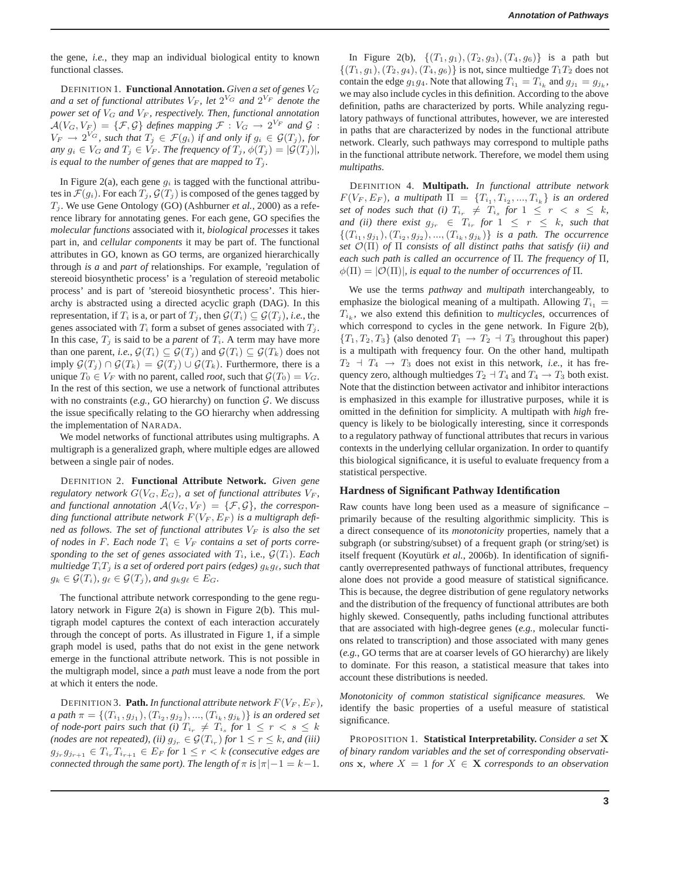the gene, *i.e.*, they map an individual biological entity to known functional classes.

DEFINITION 1. **Functional Annotation.** *Given a set of genes* V<sup>G</sup> and a set of functional attributes  $V_F$ , let  $2^{V_G}$  and  $2^{V_F}$  denote the *power set of* V<sup>G</sup> *and* V<sup>F</sup> *, respectively. Then, functional annotation*  $\mathcal{A}(V_G,V_F) = \{\mathcal{F},\mathcal{G}\}\$ defines mapping  $\mathcal{F}:V_G\to 2^{V_F}$  and  $\mathcal{G}:$  $V_F \rightarrow 2^{V_G}$ , such that  $T_j \in \mathcal{F}(g_i)$  if and only if  $g_i \in \mathcal{G}(T_j)$ , for *any*  $g_i \in V_G$  *and*  $T_j \in V_F$ *. The frequency of*  $T_j$ *,*  $\phi(T_j) = |\mathcal{G}(T_j)|$ *, is equal to the number of genes that are mapped to*  $T_j$ *.* 

In Figure 2(a), each gene  $g_i$  is tagged with the functional attributes in  $\mathcal{F}(g_i)$ . For each  $T_j$ ,  $\mathcal{G}(T_j)$  is composed of the genes tagged by  $T_j$ . We use Gene Ontology (GO) (Ashburner *et al.*, 2000) as a reference library for annotating genes. For each gene, GO specifies the *molecular functions* associated with it, *biological processes* it takes part in, and *cellular components* it may be part of. The functional attributes in GO, known as GO terms, are organized hierarchically through *is a* and *part of* relationships. For example, 'regulation of stereoid biosynthetic process' is a 'regulation of stereoid metabolic process' and is part of 'stereoid biosynthetic process'. This hierarchy is abstracted using a directed acyclic graph (DAG). In this representation, if  $T_i$  is a, or part of  $T_j$ , then  $\mathcal{G}(T_i) \subseteq \mathcal{G}(T_j)$ , *i.e.*, the genes associated with  $T_i$  form a subset of genes associated with  $T_i$ . In this case,  $T_i$  is said to be a *parent* of  $T_i$ . A term may have more than one parent, *i.e.*,  $\mathcal{G}(T_i) \subseteq \mathcal{G}(T_j)$  and  $\mathcal{G}(T_i) \subseteq \mathcal{G}(T_k)$  does not imply  $\mathcal{G}(T_j) \cap \mathcal{G}(T_k) = \mathcal{G}(T_j) \cup \mathcal{G}(T_k)$ . Furthermore, there is a unique  $T_0 \in V_F$  with no parent, called *root*, such that  $\mathcal{G}(T_0) = V_G$ . In the rest of this section, we use a network of functional attributes with no constraints  $(e.g., GO$  hierarchy) on function  $G$ . We discuss the issue specifically relating to the GO hierarchy when addressing the implementation of NARADA.

We model networks of functional attributes using multigraphs. A multigraph is a generalized graph, where multiple edges are allowed between a single pair of nodes.

DEFINITION 2. **Functional Attribute Network.** *Given gene regulatory network*  $G(V_G, E_G)$ *, a set of functional attributes*  $V_F$ *,* and functional annotation  $A(V_G, V_F) = \{F, G\}$ , the corresponding functional attribute network  $F(V_F, E_F)$  is a multigraph defi*ned as follows. The set of functional attributes*  $V_F$  *is also the set of nodes in F. Each node*  $T_i \in V_F$  *contains a set of ports corresponding to the set of genes associated with*  $T_i$ , i.e.,  $\mathcal{G}(T_i)$ *. Each multiedge*  $T_iT_j$  *is a set of ordered port pairs (edges)*  $g_kg_\ell$ *, such that*  $g_k \in \mathcal{G}(T_i)$ ,  $g_\ell \in \mathcal{G}(T_j)$ , and  $g_k g_\ell \in E_G$ .

The functional attribute network corresponding to the gene regulatory network in Figure 2(a) is shown in Figure 2(b). This multigraph model captures the context of each interaction accurately through the concept of ports. As illustrated in Figure 1, if a simple graph model is used, paths that do not exist in the gene network emerge in the functional attribute network. This is not possible in the multigraph model, since a *path* must leave a node from the port at which it enters the node.

DEFINITION 3. **Path.** *In functional attribute network*  $F(V_F, E_F)$ *,*  $a$  path  $\pi = \{(T_{i_1}, g_{j_1}), (T_{i_2}, g_{j_2}), ..., (T_{i_k}, g_{j_k})\}$  is an ordered set *of node-port pairs such that (i)*  $T_{i_r} \neq T_{i_s}$  *for*  $1 \leq r < s \leq k$ *(nodes are not repeated), (ii)*  $g_{j_r} \in \mathcal{G}(T_{i_r})$  *for*  $1 \leq r \leq k$ *, and (iii)*  $g_{j_r} g_{j_{r+1}} \in T_{i_r} T_{i_{r+1}} \in E_F$  for  $1 \leq r < k$  *(consecutive edges are connected through the same port). The length of*  $\pi$  *is*  $|\pi| - 1 = k - 1$ .

In Figure 2(b),  $\{(T_1, g_1), (T_2, g_3), (T_4, g_6)\}\$ is a path but  $\{(T_1, g_1), (T_2, g_4), (T_4, g_6)\}\$ is not, since multiedge  $T_1T_2$  does not contain the edge  $g_1g_4$ . Note that allowing  $T_{i_1} = T_{i_k}$  and  $g_{j_1} = g_{j_k}$ , we may also include cycles in this definition. According to the above definition, paths are characterized by ports. While analyzing regulatory pathways of functional attributes, however, we are interested in paths that are characterized by nodes in the functional attribute network. Clearly, such pathways may correspond to multiple paths in the functional attribute network. Therefore, we model them using *multipaths*.

DEFINITION 4. **Multipath.** *In functional attribute network*  $F(V_F, E_F)$ , a multipath  $\Pi = \{T_{i_1}, T_{i_2}, ..., T_{i_k}\}$  is an ordered set of nodes such that (i)  $T_{i_r} \neq T_{i_s}$  for  $1 \leq r \leq s \leq k$ , *and (ii) there exist*  $g_{j_r} \in T_{i_r}$  for  $1 \leq r \leq k$ *, such that*  $\{(T_{i_1}, g_{j_1}), (T_{i_2}, g_{j_2}), ..., (T_{i_k}, g_{j_k})\}$  *is a path. The occurrence set* O(Π) *of* Π *consists of all distinct paths that satisfy (ii) and each such path is called an occurrence of* Π*. The frequency of* Π*,*  $\phi(\Pi) = |O(\Pi)|$ *, is equal to the number of occurrences of*  $\Pi$ *.* 

We use the terms *pathway* and *multipath* interchangeably, to emphasize the biological meaning of a multipath. Allowing  $T_{i_1} =$  $T_{i_k}$ , we also extend this definition to *multicycles*, occurrences of which correspond to cycles in the gene network. In Figure 2(b),  ${T_1, T_2, T_3}$  (also denoted  $T_1 \rightarrow T_2 + T_3$  throughout this paper) is a multipath with frequency four. On the other hand, multipath  $T_2$   $\rightarrow$   $T_4$   $\rightarrow$   $T_3$  does not exist in this network, *i.e.*, it has frequency zero, although multiedges  $T_2 \dashv T_4$  and  $T_4 \to T_3$  both exist. Note that the distinction between activator and inhibitor interactions is emphasized in this example for illustrative purposes, while it is omitted in the definition for simplicity. A multipath with *high* frequency is likely to be biologically interesting, since it corresponds to a regulatory pathway of functional attributes that recurs in various contexts in the underlying cellular organization. In order to quantify this biological significance, it is useful to evaluate frequency from a statistical perspective.

#### **Hardness of Significant Pathway Identification**

Raw counts have long been used as a measure of significance – primarily because of the resulting algorithmic simplicity. This is a direct consequence of its *monotonicity* properties, namely that a subgraph (or substring/subset) of a frequent graph (or string/set) is itself frequent (Koyutürk et al., 2006b). In identification of significantly overrepresented pathways of functional attributes, frequency alone does not provide a good measure of statistical significance. This is because, the degree distribution of gene regulatory networks and the distribution of the frequency of functional attributes are both highly skewed. Consequently, paths including functional attributes that are associated with high-degree genes (*e.g.*, molecular functions related to transcription) and those associated with many genes (*e.g.*, GO terms that are at coarser levels of GO hierarchy) are likely to dominate. For this reason, a statistical measure that takes into account these distributions is needed.

*Monotonicity of common statistical significance measures.* We identify the basic properties of a useful measure of statistical significance.

PROPOSITION 1. **Statistical Interpretability.** *Consider a set* X *of binary random variables and the set of corresponding observations* **x***, where*  $X = 1$  *for*  $X \in \mathbf{X}$  *corresponds to an observation*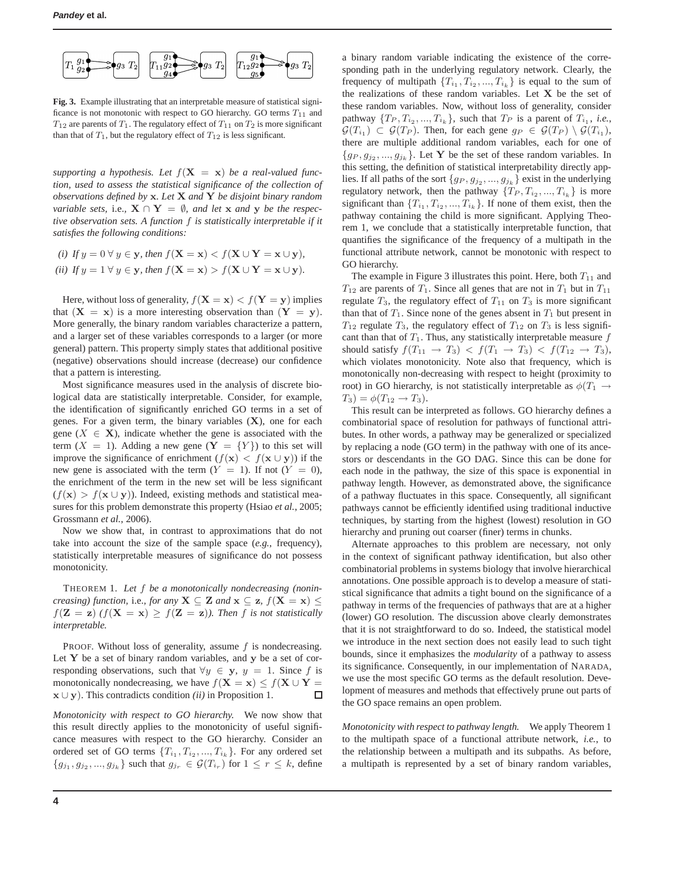

**Fig. 3.** Example illustrating that an interpretable measure of statistical significance is not monotonic with respect to GO hierarchy. GO terms  $T_{11}$  and  $T_{12}$  are parents of  $T_1$ . The regulatory effect of  $T_{11}$  on  $T_2$  is more significant than that of  $T_1$ , but the regulatory effect of  $T_{12}$  is less significant.

supporting a hypothesis. Let  $f(\mathbf{X} = \mathbf{x})$  be a real-valued func*tion, used to assess the statistical significance of the collection of observations defined by* x*. Let* X *and* Y *be disjoint binary random variable sets, i.e.,*  $X \cap Y = \emptyset$ *, and let* x *and* y *be the respective observation sets. A function* f *is statistically interpretable if it satisfies the following conditions:*

(i) If 
$$
y = 0 \forall y \in y
$$
, then  $f(\mathbf{X} = \mathbf{x}) < f(\mathbf{X} \cup \mathbf{Y} = \mathbf{x} \cup \mathbf{y})$ ,  
(ii) If  $y = 1 \forall y \in \mathbf{y}$ , then  $f(\mathbf{X} = \mathbf{x}) > f(\mathbf{X} \cup \mathbf{Y} = \mathbf{x} \cup \mathbf{y})$ .

Here, without loss of generality,  $f(\mathbf{X} = \mathbf{x}) < f(\mathbf{Y} = \mathbf{y})$  implies that  $(X = x)$  is a more interesting observation than  $(Y = y)$ . More generally, the binary random variables characterize a pattern, and a larger set of these variables corresponds to a larger (or more general) pattern. This property simply states that additional positive (negative) observations should increase (decrease) our confidence that a pattern is interesting.

Most significance measures used in the analysis of discrete biological data are statistically interpretable. Consider, for example, the identification of significantly enriched GO terms in a set of genes. For a given term, the binary variables  $(X)$ , one for each gene ( $X \in \mathbf{X}$ ), indicate whether the gene is associated with the term  $(X = 1)$ . Adding a new gene  $(Y = \{Y\})$  to this set will improve the significance of enrichment  $(f(\mathbf{x}) < f(\mathbf{x} \cup \mathbf{y}))$  if the new gene is associated with the term  $(Y = 1)$ . If not  $(Y = 0)$ , the enrichment of the term in the new set will be less significant  $(f(\mathbf{x}) > f(\mathbf{x} \cup \mathbf{y}))$ . Indeed, existing methods and statistical measures for this problem demonstrate this property (Hsiao *et al.*, 2005; Grossmann *et al.*, 2006).

Now we show that, in contrast to approximations that do not take into account the size of the sample space (*e.g.*, frequency), statistically interpretable measures of significance do not possess monotonicity.

THEOREM 1. *Let* f *be a monotonically nondecreasing (nonincreasing) function, i.e., for any*  $X \subseteq Z$  *and*  $x \subseteq z$ ,  $f(X = x)$  $f(\mathbf{Z} = \mathbf{z})$   $(f(\mathbf{X} = \mathbf{x}) \geq f(\mathbf{Z} = \mathbf{z})$ *). Then* f *is not statistically interpretable.*

PROOF. Without loss of generality, assume  $f$  is nondecreasing. Let  $Y$  be a set of binary random variables, and  $y$  be a set of corresponding observations, such that  $\forall y \in \mathbf{y}, y = 1$ . Since f is monotonically nondecreasing, we have  $f(\mathbf{X} = \mathbf{x}) \le f(\mathbf{X} \cup \mathbf{Y})$ x ∪ y). This contradicts condition *(ii)* in Proposition 1.  $\Box$ 

*Monotonicity with respect to GO hierarchy.* We now show that this result directly applies to the monotonicity of useful significance measures with respect to the GO hierarchy. Consider an ordered set of GO terms  $\{T_{i_1}, T_{i_2}, ..., T_{i_k}\}$ . For any ordered set  ${g_{j_1}, g_{j_2}, ..., g_{j_k}}$  such that  $g_{j_r} \in \mathcal{G}(T_{i_r})$  for  $1 \leq r \leq k$ , define

a binary random variable indicating the existence of the corresponding path in the underlying regulatory network. Clearly, the frequency of multipath  $\{T_{i_1}, T_{i_2}, ..., T_{i_k}\}$  is equal to the sum of the realizations of these random variables. Let  $X$  be the set of these random variables. Now, without loss of generality, consider pathway  $\{T_P, T_{i_2}, ..., T_{i_k}\}$ , such that  $T_P$  is a parent of  $T_{i_1}$ , *i.e.*,  $\mathcal{G}(T_{i_1}) \subset \mathcal{G}(T_P)$ . Then, for each gene  $g_P \in \mathcal{G}(T_P) \setminus \mathcal{G}(T_{i_1}),$ there are multiple additional random variables, each for one of  ${g_P, g_{j_2}, ..., g_{j_k}}$ . Let Y be the set of these random variables. In this setting, the definition of statistical interpretability directly applies. If all paths of the sort  $\{g_P, g_{j_2}, ..., g_{j_k}\}$  exist in the underlying regulatory network, then the pathway  $\{T_P, T_{i_2}, ..., T_{i_k}\}\)$  is more significant than  $\{T_{i_1}, T_{i_2}, ..., T_{i_k}\}$ . If none of them exist, then the pathway containing the child is more significant. Applying Theorem 1, we conclude that a statistically interpretable function, that quantifies the significance of the frequency of a multipath in the functional attribute network, cannot be monotonic with respect to GO hierarchy.

The example in Figure 3 illustrates this point. Here, both  $T_{11}$  and  $T_{12}$  are parents of  $T_1$ . Since all genes that are not in  $T_1$  but in  $T_{11}$ regulate  $T_3$ , the regulatory effect of  $T_{11}$  on  $T_3$  is more significant than that of  $T_1$ . Since none of the genes absent in  $T_1$  but present in  $T_{12}$  regulate  $T_3$ , the regulatory effect of  $T_{12}$  on  $T_3$  is less significant than that of  $T_1$ . Thus, any statistically interpretable measure  $f$ should satisfy  $f(T_{11} \rightarrow T_3) < f(T_1 \rightarrow T_3) < f(T_{12} \rightarrow T_3)$ , which violates monotonicity. Note also that frequency, which is monotonically non-decreasing with respect to height (proximity to root) in GO hierarchy, is not statistically interpretable as  $\phi(T_1 \rightarrow$  $T_3$ ) =  $\phi(T_{12} \to T_3)$ .

This result can be interpreted as follows. GO hierarchy defines a combinatorial space of resolution for pathways of functional attributes. In other words, a pathway may be generalized or specialized by replacing a node (GO term) in the pathway with one of its ancestors or descendants in the GO DAG. Since this can be done for each node in the pathway, the size of this space is exponential in pathway length. However, as demonstrated above, the significance of a pathway fluctuates in this space. Consequently, all significant pathways cannot be efficiently identified using traditional inductive techniques, by starting from the highest (lowest) resolution in GO hierarchy and pruning out coarser (finer) terms in chunks.

Alternate approaches to this problem are necessary, not only in the context of significant pathway identification, but also other combinatorial problems in systems biology that involve hierarchical annotations. One possible approach is to develop a measure of statistical significance that admits a tight bound on the significance of a pathway in terms of the frequencies of pathways that are at a higher (lower) GO resolution. The discussion above clearly demonstrates that it is not straightforward to do so. Indeed, the statistical model we introduce in the next section does not easily lead to such tight bounds, since it emphasizes the *modularity* of a pathway to assess its significance. Consequently, in our implementation of NARADA, we use the most specific GO terms as the default resolution. Development of measures and methods that effectively prune out parts of the GO space remains an open problem.

*Monotonicity with respect to pathway length.* We apply Theorem 1 to the multipath space of a functional attribute network, *i.e.*, to the relationship between a multipath and its subpaths. As before, a multipath is represented by a set of binary random variables,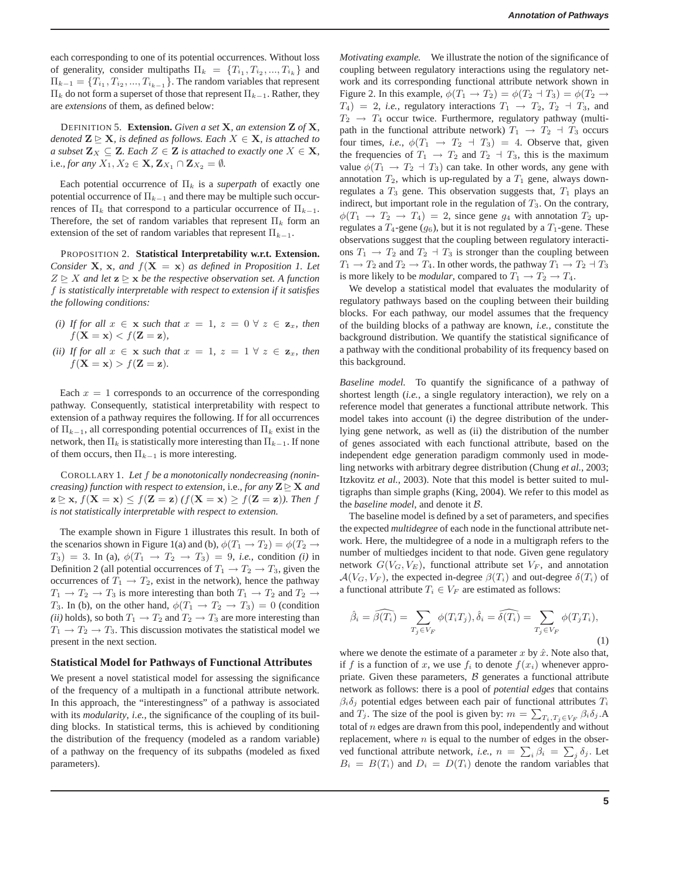each corresponding to one of its potential occurrences. Without loss of generality, consider multipaths  $\Pi_k = \{T_{i_1}, T_{i_2}, ..., T_{i_k}\}\$ and  $\Pi_{k-1} = \{T_{i_1}, T_{i_2}, ..., T_{i_{k-1}}\}$ . The random variables that represent  $\Pi_k$  do not form a superset of those that represent  $\Pi_{k-1}$ . Rather, they are *extensions* of them, as defined below:

DEFINITION 5. **Extension.** *Given a set* X*, an extension* Z *of* X*, denoted*  $\mathbf{Z} \trianglerighteq \mathbf{X}$ *, is defined as follows. Each*  $X \in \mathbf{X}$ *, is attached to a subset*  $\mathbf{Z}_X \subseteq \mathbf{Z}$ *. Each*  $Z \in \mathbf{Z}$  *is attached to exactly one*  $X \in \mathbf{X}$ *,* i.e., for any  $X_1, X_2 \in \mathbf{X}, \mathbf{Z}_{X_1} \cap \mathbf{Z}_{X_2} = \emptyset$ .

Each potential occurrence of  $\Pi_k$  is a *superpath* of exactly one potential occurrence of  $\Pi_{k-1}$  and there may be multiple such occurrences of  $\Pi_k$  that correspond to a particular occurrence of  $\Pi_{k-1}$ . Therefore, the set of random variables that represent  $\Pi_k$  form an extension of the set of random variables that represent  $\Pi_{k-1}$ .

PROPOSITION 2. **Statistical Interpretability w.r.t. Extension.** *Consider* **X***,* **x***, and*  $f(X = x)$  *as defined in Proposition 1. Let*  $Z \trianglerighteq X$  and let  $z \trianglerighteq x$  be the respective observation set. A function f *is statistically interpretable with respect to extension if it satisfies the following conditions:*

- *(i)* If for all  $x \in \mathbf{x}$  *such that*  $x = 1$ ,  $z = 0 \forall z \in \mathbf{z}_x$ *, then*  $f(\mathbf{X} = \mathbf{x}) < f(\mathbf{Z} = \mathbf{z})$ ,
- *(ii)* If for all  $x \in \mathbf{x}$  *such that*  $x = 1$ ,  $z = 1 \forall z \in \mathbf{z}_x$ *, then*  $f(\mathbf{X} = \mathbf{x}) > f(\mathbf{Z} = \mathbf{z}).$

Each  $x = 1$  corresponds to an occurrence of the corresponding pathway. Consequently, statistical interpretability with respect to extension of a pathway requires the following. If for all occurrences of  $\Pi_{k-1}$ , all corresponding potential occurrences of  $\Pi_k$  exist in the network, then  $\Pi_k$  is statistically more interesting than  $\Pi_{k-1}$ . If none of them occurs, then  $\Pi_{k-1}$  is more interesting.

COROLLARY 1. *Let* f *be a monotonically nondecreasing (nonincreasing) function with respect to extension, i.e., for any*  $\mathbf{Z} \trianglerighteq \mathbf{X}$  *and*  $z \ge x$ *,*  $f(X = x) \le f(Z = z)$   $(f(X = x) \ge f(Z = z))$ *. Then* f *is not statistically interpretable with respect to extension.*

The example shown in Figure 1 illustrates this result. In both of the scenarios shown in Figure 1(a) and (b),  $\phi(T_1 \rightarrow T_2) = \phi(T_2 \rightarrow T_1)$  $T_3$ ) = 3. In (a),  $\phi(T_1 \rightarrow T_2 \rightarrow T_3)$  = 9, *i.e.*, condition *(i)* in Definition 2 (all potential occurrences of  $T_1 \rightarrow T_2 \rightarrow T_3$ , given the occurrences of  $T_1 \rightarrow T_2$ , exist in the network), hence the pathway  $T_1 \rightarrow T_2 \rightarrow T_3$  is more interesting than both  $T_1 \rightarrow T_2$  and  $T_2 \rightarrow$ T<sub>3</sub>. In (b), on the other hand,  $\phi(T_1 \rightarrow T_2 \rightarrow T_3) = 0$  (condition *(ii)* holds), so both  $T_1 \rightarrow T_2$  and  $T_2 \rightarrow T_3$  are more interesting than  $T_1 \rightarrow T_2 \rightarrow T_3$ . This discussion motivates the statistical model we present in the next section.

#### **Statistical Model for Pathways of Functional Attributes**

We present a novel statistical model for assessing the significance of the frequency of a multipath in a functional attribute network. In this approach, the "interestingness" of a pathway is associated with its *modularity*, *i.e.*, the significance of the coupling of its building blocks. In statistical terms, this is achieved by conditioning the distribution of the frequency (modeled as a random variable) of a pathway on the frequency of its subpaths (modeled as fixed parameters).

*Motivating example.* We illustrate the notion of the significance of coupling between regulatory interactions using the regulatory network and its corresponding functional attribute network shown in Figure 2. In this example,  $\phi(T_1 \rightarrow T_2) = \phi(T_2 \rightarrow T_3) = \phi(T_2 \rightarrow T_4)$  $T_4$ ) = 2, *i.e.*, regulatory interactions  $T_1 \rightarrow T_2$ ,  $T_2 \rightarrow T_3$ , and  $T_2 \rightarrow T_4$  occur twice. Furthermore, regulatory pathway (multipath in the functional attribute network)  $T_1 \rightarrow T_2 \rightarrow T_3$  occurs four times, *i.e.*,  $\phi(T_1 \rightarrow T_2 \rightarrow T_3) = 4$ . Observe that, given the frequencies of  $T_1 \rightarrow T_2$  and  $T_2 \rightarrow T_3$ , this is the maximum value  $\phi(T_1 \rightarrow T_2 \rightarrow T_3)$  can take. In other words, any gene with annotation  $T_2$ , which is up-regulated by a  $T_1$  gene, always downregulates a  $T_3$  gene. This observation suggests that,  $T_1$  plays an indirect, but important role in the regulation of  $T_3$ . On the contrary,  $\phi(T_1 \rightarrow T_2 \rightarrow T_4) = 2$ , since gene  $g_4$  with annotation  $T_2$  upregulates a  $T_4$ -gene  $(g_6)$ , but it is not regulated by a  $T_1$ -gene. These observations suggest that the coupling between regulatory interactions  $T_1 \rightarrow T_2$  and  $T_2 \rightarrow T_3$  is stronger than the coupling between  $T_1 \rightarrow T_2$  and  $T_2 \rightarrow T_4$ . In other words, the pathway  $T_1 \rightarrow T_2 + T_3$ is more likely to be *modular*, compared to  $T_1 \rightarrow T_2 \rightarrow T_4$ .

We develop a statistical model that evaluates the modularity of regulatory pathways based on the coupling between their building blocks. For each pathway, our model assumes that the frequency of the building blocks of a pathway are known, *i.e.*, constitute the background distribution. We quantify the statistical significance of a pathway with the conditional probability of its frequency based on this background.

*Baseline model.* To quantify the significance of a pathway of shortest length (*i.e.*, a single regulatory interaction), we rely on a reference model that generates a functional attribute network. This model takes into account (i) the degree distribution of the underlying gene network, as well as (ii) the distribution of the number of genes associated with each functional attribute, based on the independent edge generation paradigm commonly used in modeling networks with arbitrary degree distribution (Chung *et al.*, 2003; Itzkovitz *et al.*, 2003). Note that this model is better suited to multigraphs than simple graphs (King, 2004). We refer to this model as the *baseline model*, and denote it B.

The baseline model is defined by a set of parameters, and specifies the expected *multidegree* of each node in the functional attribute network. Here, the multidegree of a node in a multigraph refers to the number of multiedges incident to that node. Given gene regulatory network  $G(V_G, V_E)$ , functional attribute set  $V_F$ , and annotation  $\mathcal{A}(V_G, V_F)$ , the expected in-degree  $\beta(T_i)$  and out-degree  $\delta(T_i)$  of a functional attribute  $T_i \in V_F$  are estimated as follows:

$$
\hat{\beta}_i = \widehat{\beta(T_i)} = \sum_{T_j \in V_F} \phi(T_i T_j), \hat{\delta}_i = \widehat{\delta(T_i)} = \sum_{T_j \in V_F} \phi(T_j T_i),
$$
\n(1)

where we denote the estimate of a parameter  $x$  by  $\hat{x}$ . Note also that, if f is a function of x, we use  $f_i$  to denote  $f(x_i)$  whenever appropriate. Given these parameters,  $\beta$  generates a functional attribute network as follows: there is a pool of *potential edges* that contains  $\beta_i \delta_j$  potential edges between each pair of functional attributes  $T_i$ and  $T_j$ . The size of the pool is given by:  $m = \sum_{T_i, T_j \in V_F} \beta_i \delta_j$ .A total of  $n$  edges are drawn from this pool, independently and without replacement, where  $n$  is equal to the number of edges in the observed functional attribute network, *i.e.*,  $n = \sum_i \beta_i = \sum_j \delta_j$ . Let  $B_i = B(T_i)$  and  $D_i = D(T_i)$  denote the random variables that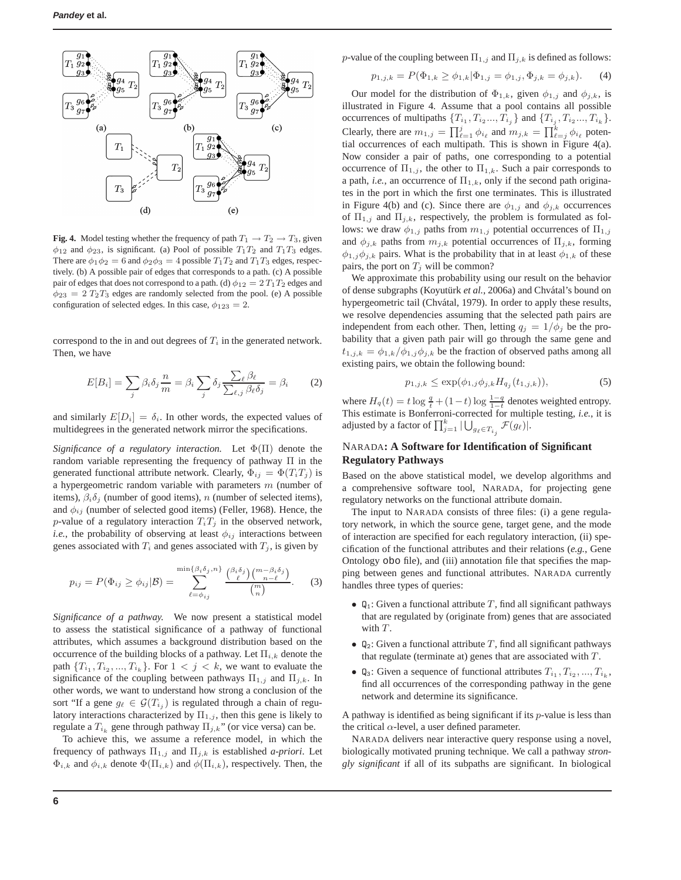

**Fig. 4.** Model testing whether the frequency of path  $T_1 \rightarrow T_2 \rightarrow T_3$ , given  $\phi_{12}$  and  $\phi_{23}$ , is significant. (a) Pool of possible  $T_1T_2$  and  $T_1T_3$  edges. There are  $\phi_1 \phi_2 = 6$  and  $\phi_2 \phi_3 = 4$  possible  $T_1 T_2$  and  $T_1 T_3$  edges, respectively. (b) A possible pair of edges that corresponds to a path. (c) A possible pair of edges that does not correspond to a path. (d)  $\phi_{12} = 2 T_1 T_2$  edges and  $\phi_{23} = 2 T_2 T_3$  edges are randomly selected from the pool. (e) A possible configuration of selected edges. In this case,  $\phi_{123} = 2$ .

correspond to the in and out degrees of  $T_i$  in the generated network. Then, we have

$$
E[B_i] = \sum_j \beta_i \delta_j \frac{n}{m} = \beta_i \sum_j \delta_j \frac{\sum_{\ell} \beta_{\ell}}{\sum_{\ell, j} \beta_{\ell} \delta_j} = \beta_i \tag{2}
$$

and similarly  $E[D_i] = \delta_i$ . In other words, the expected values of multidegrees in the generated network mirror the specifications.

*Significance of a regulatory interaction.* Let Φ(Π) denote the random variable representing the frequency of pathway Π in the generated functional attribute network. Clearly,  $\Phi_{ij} = \Phi(T_i T_j)$  is a hypergeometric random variable with parameters  $m$  (number of items),  $\beta_i \delta_j$  (number of good items), n (number of selected items), and  $\phi_{ij}$  (number of selected good items) (Feller, 1968). Hence, the p-value of a regulatory interaction  $T_iT_j$  in the observed network, *i.e.*, the probability of observing at least  $\phi_{ij}$  interactions between genes associated with  $T_i$  and genes associated with  $T_j$ , is given by

$$
p_{ij} = P(\Phi_{ij} \ge \phi_{ij} | \mathcal{B}) = \sum_{\ell = \phi_{ij}}^{\min\{\beta_i \delta_j, n\}} \frac{\binom{\beta_i \delta_j}{\ell} \binom{m - \beta_i \delta_j}{n - \ell}}{\binom{m}{n}}.
$$
 (3)

*Significance of a pathway.* We now present a statistical model to assess the statistical significance of a pathway of functional attributes, which assumes a background distribution based on the occurrence of the building blocks of a pathway. Let  $\Pi_{i,k}$  denote the path  $\{T_{i_1}, T_{i_2}, ..., T_{i_k}\}$ . For  $1 < j < k$ , we want to evaluate the significance of the coupling between pathways  $\Pi_{1,j}$  and  $\Pi_{j,k}$ . In other words, we want to understand how strong a conclusion of the sort "If a gene  $g_{\ell} \in \mathcal{G}(T_{i_j})$  is regulated through a chain of regulatory interactions characterized by  $\Pi_{1,j}$ , then this gene is likely to regulate a  $T_{i_k}$  gene through pathway  $\Pi_{j,k}$ " (or vice versa) can be.

To achieve this, we assume a reference model, in which the frequency of pathways  $\Pi_{1,j}$  and  $\Pi_{j,k}$  is established *a-priori*. Let  $\Phi_{i,k}$  and  $\phi_{i,k}$  denote  $\Phi(\Pi_{i,k})$  and  $\phi(\Pi_{i,k})$ , respectively. Then, the

p-value of the coupling between  $\Pi_{1,j}$  and  $\Pi_{j,k}$  is defined as follows:

$$
p_{1,j,k} = P(\Phi_{1,k} \ge \phi_{1,k} | \Phi_{1,j} = \phi_{1,j}, \Phi_{j,k} = \phi_{j,k}). \tag{4}
$$

Our model for the distribution of  $\Phi_{1,k}$ , given  $\phi_{1,j}$  and  $\phi_{j,k}$ , is illustrated in Figure 4. Assume that a pool contains all possible occurrences of multipaths  $\{T_{i_1}, T_{i_2}, \ldots, T_{i_j}\}$  and  $\{T_{i_j}, T_{i_2}, \ldots, T_{i_k}\}.$ Clearly, there are  $m_{1,j} = \prod_{\ell=1}^j \phi_{i_\ell}$  and  $m_{j,k} = \prod_{\ell=j}^k \phi_{i_\ell}$  potential occurrences of each multipath. This is shown in Figure 4(a). Now consider a pair of paths, one corresponding to a potential occurrence of  $\Pi_{1,j}$ , the other to  $\Pi_{1,k}$ . Such a pair corresponds to a path, *i.e.*, an occurrence of  $\Pi_{1,k}$ , only if the second path originates in the port in which the first one terminates. This is illustrated in Figure 4(b) and (c). Since there are  $\phi_{1,j}$  and  $\phi_{j,k}$  occurrences of  $\Pi_{1,j}$  and  $\Pi_{j,k}$ , respectively, the problem is formulated as follows: we draw  $\phi_{1,j}$  paths from  $m_{1,j}$  potential occurrences of  $\Pi_{1,j}$ and  $\phi_{j,k}$  paths from  $m_{j,k}$  potential occurrences of  $\Pi_{j,k}$ , forming  $\phi_{1,j}\phi_{j,k}$  pairs. What is the probability that in at least  $\phi_{1,k}$  of these pairs, the port on  $T_i$  will be common?

We approximate this probability using our result on the behavior of dense subgraphs (Koyutürk *et al.*, 2006a) and Chvátal's bound on hypergeometric tail (Chvátal, 1979). In order to apply these results, we resolve dependencies assuming that the selected path pairs are independent from each other. Then, letting  $q_i = 1/\phi_i$  be the probability that a given path pair will go through the same gene and  $t_{1,j,k} = \phi_{1,k}/\phi_{1,j}\phi_{j,k}$  be the fraction of observed paths among all existing pairs, we obtain the following bound:

$$
p_{1,j,k} \le \exp(\phi_{1,j}\phi_{j,k}H_{q_j}(t_{1,j,k})),\tag{5}
$$

where  $H_q(t) = t \log \frac{q}{t} + (1 - t) \log \frac{1 - q}{1 - t}$  denotes weighted entropy. This estimate is Bonferroni-corrected for multiple testing, *i.e.*, it is adjusted by a factor of  $\prod_{j=1}^k |\bigcup_{g_\ell \in T_{i_j}} \mathcal{F}(g_\ell)|$ .

# NARADA**: A Software for Identification of Significant Regulatory Pathways**

Based on the above statistical model, we develop algorithms and a comprehensive software tool, NARADA, for projecting gene regulatory networks on the functional attribute domain.

The input to NARADA consists of three files: (i) a gene regulatory network, in which the source gene, target gene, and the mode of interaction are specified for each regulatory interaction, (ii) specification of the functional attributes and their relations (*e.g.*, Gene Ontology obo file), and (iii) annotation file that specifies the mapping between genes and functional attributes. NARADA currently handles three types of queries:

- $\mathbb{Q}_1$ : Given a functional attribute T, find all significant pathways that are regulated by (originate from) genes that are associated with T.
- $\mathbb{Q}_2$ : Given a functional attribute T, find all significant pathways that regulate (terminate at) genes that are associated with  $T$ .
- $Q_3$ : Given a sequence of functional attributes  $T_{i_1}, T_{i_2}, ..., T_{i_k}$ , find all occurrences of the corresponding pathway in the gene network and determine its significance.

A pathway is identified as being significant if its  $p$ -value is less than the critical  $\alpha$ -level, a user defined parameter.

NARADA delivers near interactive query response using a novel, biologically motivated pruning technique. We call a pathway *strongly significant* if all of its subpaths are significant. In biological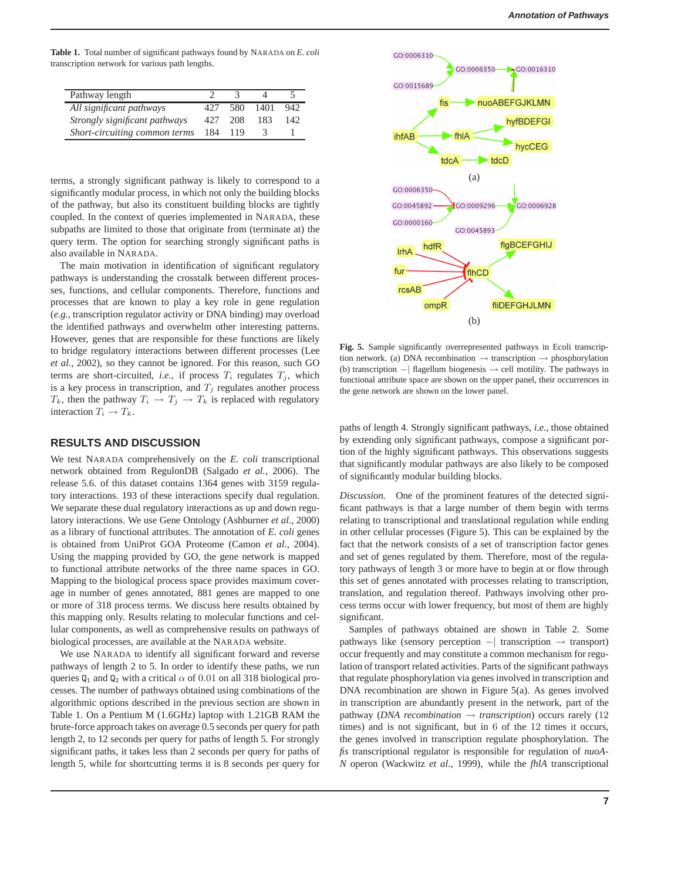**Table 1.** Total number of significant pathways found by NARADA on *E. coli* transcription network for various path lengths.

| Pathway length                |     |     |      |     |
|-------------------------------|-----|-----|------|-----|
| All significant pathways      | 427 | 580 | 1401 | 942 |
| Strongly significant pathways | 427 | 208 | 183  | 142 |
| Short-circuiting common terms | 184 | 119 |      |     |

terms, a strongly significant pathway is likely to correspond to a significantly modular process, in which not only the building blocks of the pathway, but also its constituent building blocks are tightly coupled. In the context of queries implemented in NARADA, these subpaths are limited to those that originate from (terminate at) the query term. The option for searching strongly significant paths is also available in NARADA.

The main motivation in identification of significant regulatory pathways is understanding the crosstalk between different processes, functions, and cellular components. Therefore, functions and processes that are known to play a key role in gene regulation (*e.g.*, transcription regulator activity or DNA binding) may overload the identified pathways and overwhelm other interesting patterns. However, genes that are responsible for these functions are likely to bridge regulatory interactions between different processes (Lee *et al.*, 2002), so they cannot be ignored. For this reason, such GO terms are short-circuited, *i.e.*, if process  $T_i$  regulates  $T_j$ , which is a key process in transcription, and  $T_j$  regulates another process  $T_k$ , then the pathway  $T_i \to T_j \to T_k$  is replaced with regulatory interaction  $T_i \to T_k$ .

## **RESULTS AND DISCUSSION**

We test NARADA comprehensively on the *E. coli* transcriptional network obtained from RegulonDB (Salgado *et al.*, 2006). The release 5.6. of this dataset contains 1364 genes with 3159 regulatory interactions. 193 of these interactions specify dual regulation. We separate these dual regulatory interactions as up and down regulatory interactions. We use Gene Ontology (Ashburner *et al.*, 2000) as a library of functional attributes. The annotation of *E. coli* genes is obtained from UniProt GOA Proteome (Camon *et al.*, 2004). Using the mapping provided by GO, the gene network is mapped to functional attribute networks of the three name spaces in GO. Mapping to the biological process space provides maximum coverage in number of genes annotated, 881 genes are mapped to one or more of 318 process terms. We discuss here results obtained by this mapping only. Results relating to molecular functions and cellular components, as well as comprehensive results on pathways of biological processes, are available at the NARADA website.

We use NARADA to identify all significant forward and reverse pathways of length 2 to 5. In order to identify these paths, we run queries  $Q_1$  and  $Q_2$  with a critical  $\alpha$  of 0.01 on all 318 biological processes. The number of pathways obtained using combinations of the algorithmic options described in the previous section are shown in Table 1. On a Pentium M (1.6GHz) laptop with 1.21GB RAM the brute-force approach takes on average 0.5 seconds per query for path length 2, to 12 seconds per query for paths of length 5. For strongly significant paths, it takes less than 2 seconds per query for paths of length 5, while for shortcutting terms it is 8 seconds per query for



**Fig. 5.** Sample significantly overrepresented pathways in Ecoli transcription network. (a) DNA recombination  $\rightarrow$  transcription  $\rightarrow$  phosphorylation (b) transcription −| flagellum biogenesis → cell motility. The pathways in functional attribute space are shown on the upper panel, their occurrences in the gene network are shown on the lower panel.

paths of length 4. Strongly significant pathways, *i.e.*, those obtained by extending only significant pathways, compose a significant portion of the highly significant pathways. This observations suggests that significantly modular pathways are also likely to be composed of significantly modular building blocks.

*Discussion.* One of the prominent features of the detected significant pathways is that a large number of them begin with terms relating to transcriptional and translational regulation while ending in other cellular processes (Figure 5). This can be explained by the fact that the network consists of a set of transcription factor genes and set of genes regulated by them. Therefore, most of the regulatory pathways of length 3 or more have to begin at or flow through this set of genes annotated with processes relating to transcription, translation, and regulation thereof. Pathways involving other process terms occur with lower frequency, but most of them are highly significant.

Samples of pathways obtained are shown in Table 2. Some pathways like (sensory perception −| transcription → transport) occur frequently and may constitute a common mechanism for regulation of transport related activities. Parts of the significant pathways that regulate phosphorylation via genes involved in transcription and DNA recombination are shown in Figure 5(a). As genes involved in transcription are abundantly present in the network, part of the pathway (*DNA recombination* → *transcription*) occurs rarely (12 times) and is not significant, but in 6 of the 12 times it occurs, the genes involved in transcription regulate phosphorylation. The *fis* transcriptional regulator is responsible for regulation of *nuoA-N* operon (Wackwitz *et al.*, 1999), while the *fhlA* transcriptional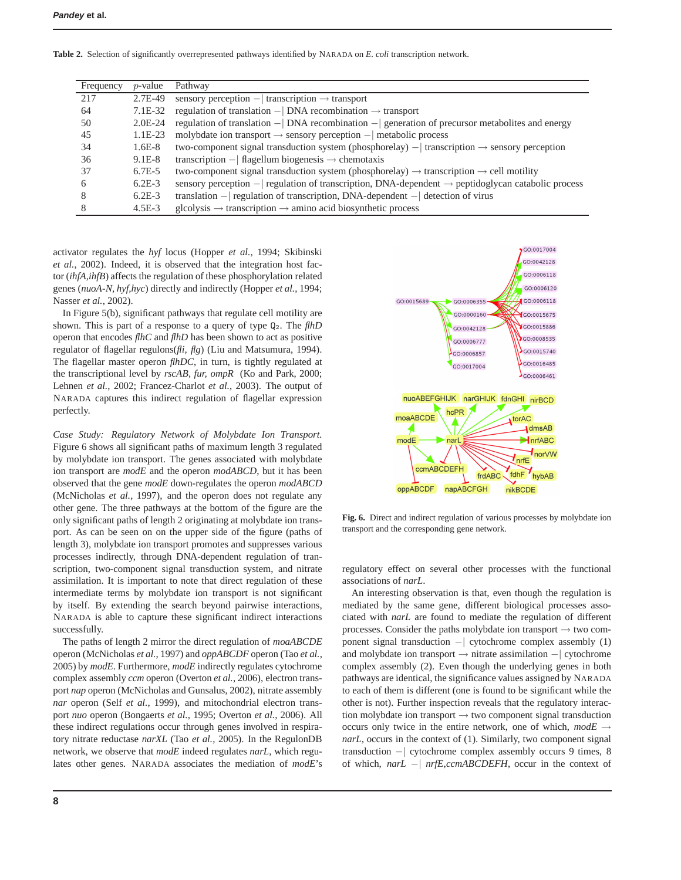**Table 2.** Selection of significantly overrepresented pathways identified by NARADA on *E. coli* transcription network.

| Frequency | $p$ -value | Pathway                                                                                                         |
|-----------|------------|-----------------------------------------------------------------------------------------------------------------|
| 217       | 2.7E-49    | sensory perception $-$ transcription $\rightarrow$ transport                                                    |
| 64        | 7.1E-32    | regulation of translation $- $ DNA recombination $\rightarrow$ transport                                        |
| 50        | $2.0E-24$  | regulation of translation $- $ DNA recombination $- $ generation of precursor metabolites and energy            |
| 45        | $1.1E-23$  | molybdate ion transport $\rightarrow$ sensory perception $-$ metabolic process                                  |
| 34        | $1.6E-8$   | two-component signal transduction system (phosphorelay) $-$ transcription $\rightarrow$ sensory perception      |
| 36        | $9.1E-8$   | transcription $-$ flagellum biogenesis $\rightarrow$ chemotaxis                                                 |
| 37        | $6.7E - 5$ | two-component signal transduction system (phosphorelay) $\rightarrow$ transcription $\rightarrow$ cell motility |
| h         | $6.2E-3$   | sensory perception $-$ regulation of transcription, DNA-dependent $\rightarrow$ peptidoglycan catabolic process |
| 8         | $6.2E-3$   | translation $-$ regulation of transcription, DNA-dependent $-$ detection of virus                               |
|           | $4.5E-3$   | $\text{glcolysis} \rightarrow \text{transcription} \rightarrow \text{amino acid biosynthetic process}$          |

activator regulates the *hyf* locus (Hopper *et al.*, 1994; Skibinski *et al.*, 2002). Indeed, it is observed that the integration host factor (*ihfA,ihfB*) affects the regulation of these phosphorylation related genes (*nuoA-N, hyf,hyc*) directly and indirectly (Hopper *et al.*, 1994; Nasser *et al.*, 2002).

In Figure 5(b), significant pathways that regulate cell motility are shown. This is part of a response to a query of type  $Q_2$ . The *flhD* operon that encodes *flhC* and *flhD* has been shown to act as positive regulator of flagellar regulons(*fli, flg*) (Liu and Matsumura, 1994). The flagellar master operon *flhDC*, in turn, is tightly regulated at the transcriptional level by *rscAB, fur, ompR* (Ko and Park, 2000; Lehnen *et al.*, 2002; Francez-Charlot *et al.*, 2003). The output of NARADA captures this indirect regulation of flagellar expression perfectly.

*Case Study: Regulatory Network of Molybdate Ion Transport.* Figure 6 shows all significant paths of maximum length 3 regulated by molybdate ion transport. The genes associated with molybdate ion transport are *modE* and the operon *modABCD*, but it has been observed that the gene *modE* down-regulates the operon *modABCD* (McNicholas *et al.*, 1997), and the operon does not regulate any other gene. The three pathways at the bottom of the figure are the only significant paths of length 2 originating at molybdate ion transport. As can be seen on on the upper side of the figure (paths of length 3), molybdate ion transport promotes and suppresses various processes indirectly, through DNA-dependent regulation of transcription, two-component signal transduction system, and nitrate assimilation. It is important to note that direct regulation of these intermediate terms by molybdate ion transport is not significant by itself. By extending the search beyond pairwise interactions, NARADA is able to capture these significant indirect interactions successfully.

The paths of length 2 mirror the direct regulation of *moaABCDE* operon (McNicholas *et al.*, 1997) and *oppABCDF* operon (Tao *et al.*, 2005) by *modE*. Furthermore, *modE* indirectly regulates cytochrome complex assembly *ccm* operon (Overton *et al.*, 2006), electron transport *nap* operon (McNicholas and Gunsalus, 2002), nitrate assembly *nar* operon (Self *et al.*, 1999), and mitochondrial electron transport *nuo* operon (Bongaerts *et al.*, 1995; Overton *et al.*, 2006). All these indirect regulations occur through genes involved in respiratory nitrate reductase *narXL* (Tao *et al.*, 2005). In the RegulonDB network, we observe that *modE* indeed regulates *narL*, which regulates other genes. NARADA associates the mediation of *modE*'s



**Fig. 6.** Direct and indirect regulation of various processes by molybdate ion transport and the corresponding gene network.

regulatory effect on several other processes with the functional associations of *narL*.

An interesting observation is that, even though the regulation is mediated by the same gene, different biological processes associated with *narL* are found to mediate the regulation of different processes. Consider the paths molybdate ion transport  $\rightarrow$  two component signal transduction −| cytochrome complex assembly (1) and molybdate ion transport → nitrate assimilation −| cytochrome complex assembly (2). Even though the underlying genes in both pathways are identical, the significance values assigned by NARADA to each of them is different (one is found to be significant while the other is not). Further inspection reveals that the regulatory interaction molybdate ion transport  $\rightarrow$  two component signal transduction occurs only twice in the entire network, one of which,  $modE \rightarrow$ *narL*, occurs in the context of (1). Similarly, two component signal transduction −| cytochrome complex assembly occurs 9 times, 8 of which, *narL* −| *nrfE*,*ccmABCDEFH*, occur in the context of